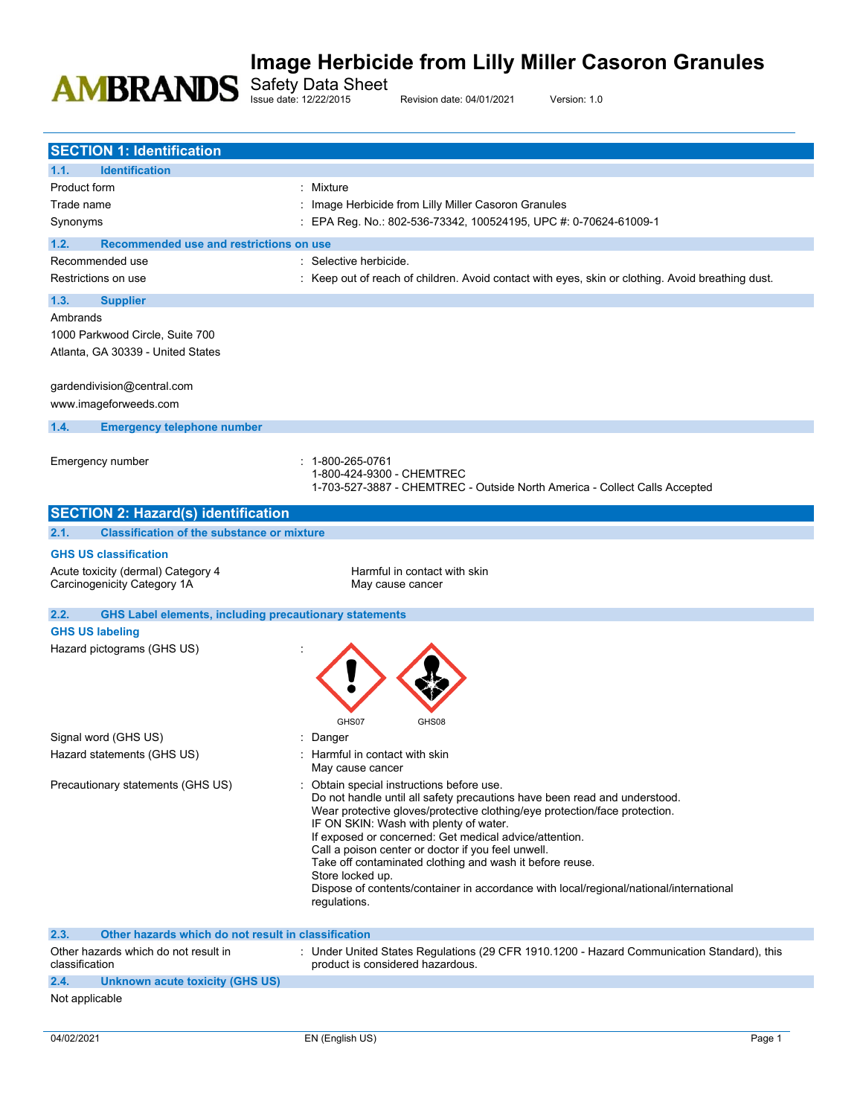Safety Data Sheet

Issue date: 12/22/2015 Revision date: 04/01/2021 Version: 1.0

| <b>SECTION 1: Identification</b>                                                                |                                                                                                                      |
|-------------------------------------------------------------------------------------------------|----------------------------------------------------------------------------------------------------------------------|
| <b>Identification</b><br>1.1.                                                                   |                                                                                                                      |
| Product form                                                                                    | : Mixture                                                                                                            |
| Trade name                                                                                      | Image Herbicide from Lilly Miller Casoron Granules                                                                   |
| Synonyms                                                                                        | : EPA Reg. No.: 802-536-73342, 100524195, UPC #: 0-70624-61009-1                                                     |
| 1.2.<br>Recommended use and restrictions on use                                                 |                                                                                                                      |
| Recommended use                                                                                 | : Selective herbicide.                                                                                               |
| Restrictions on use                                                                             | : Keep out of reach of children. Avoid contact with eyes, skin or clothing. Avoid breathing dust.                    |
|                                                                                                 |                                                                                                                      |
| 1.3.<br><b>Supplier</b>                                                                         |                                                                                                                      |
| Ambrands                                                                                        |                                                                                                                      |
| 1000 Parkwood Circle, Suite 700                                                                 |                                                                                                                      |
| Atlanta, GA 30339 - United States                                                               |                                                                                                                      |
|                                                                                                 |                                                                                                                      |
| gardendivision@central.com                                                                      |                                                                                                                      |
| www.imageforweeds.com                                                                           |                                                                                                                      |
| 1.4.<br><b>Emergency telephone number</b>                                                       |                                                                                                                      |
|                                                                                                 |                                                                                                                      |
| Emergency number                                                                                | 1-800-265-0761<br>1-800-424-9300 - CHEMTREC                                                                          |
|                                                                                                 | 1-703-527-3887 - CHEMTREC - Outside North America - Collect Calls Accepted                                           |
|                                                                                                 |                                                                                                                      |
| <b>SECTION 2: Hazard(s) identification</b><br><b>Classification of the substance or mixture</b> |                                                                                                                      |
| 2.1.                                                                                            |                                                                                                                      |
| <b>GHS US classification</b>                                                                    |                                                                                                                      |
| Acute toxicity (dermal) Category 4                                                              | Harmful in contact with skin                                                                                         |
| Carcinogenicity Category 1A                                                                     | May cause cancer                                                                                                     |
| 2.2.<br><b>GHS Label elements, including precautionary statements</b>                           |                                                                                                                      |
| <b>GHS US labeling</b>                                                                          |                                                                                                                      |
| Hazard pictograms (GHS US)                                                                      |                                                                                                                      |
|                                                                                                 |                                                                                                                      |
|                                                                                                 |                                                                                                                      |
|                                                                                                 |                                                                                                                      |
|                                                                                                 | GHS07<br>GHS08                                                                                                       |
| Signal word (GHS US)                                                                            | Danger                                                                                                               |
| Hazard statements (GHS US)                                                                      | Harmful in contact with skin                                                                                         |
|                                                                                                 | May cause cancer                                                                                                     |
| Precautionary statements (GHS US)                                                               | Obtain special instructions before use.                                                                              |
|                                                                                                 | Do not handle until all safety precautions have been read and understood.                                            |
|                                                                                                 | Wear protective gloves/protective clothing/eye protection/face protection.<br>IF ON SKIN: Wash with plenty of water. |
|                                                                                                 | If exposed or concerned: Get medical advice/attention.                                                               |
|                                                                                                 | Call a poison center or doctor if you feel unwell.                                                                   |
|                                                                                                 | Take off contaminated clothing and wash it before reuse.                                                             |
|                                                                                                 | Store locked up.<br>Dispose of contents/container in accordance with local/regional/national/international           |
|                                                                                                 | regulations.                                                                                                         |
|                                                                                                 |                                                                                                                      |
| 2.3.<br>Other hazards which do not result in classification                                     |                                                                                                                      |
| Other hazards which do not result in                                                            | : Under United States Regulations (29 CFR 1910.1200 - Hazard Communication Standard), this                           |
| classification                                                                                  | product is considered hazardous.                                                                                     |
| 2.4.<br><b>Unknown acute toxicity (GHS US)</b>                                                  |                                                                                                                      |
| Not applicable                                                                                  |                                                                                                                      |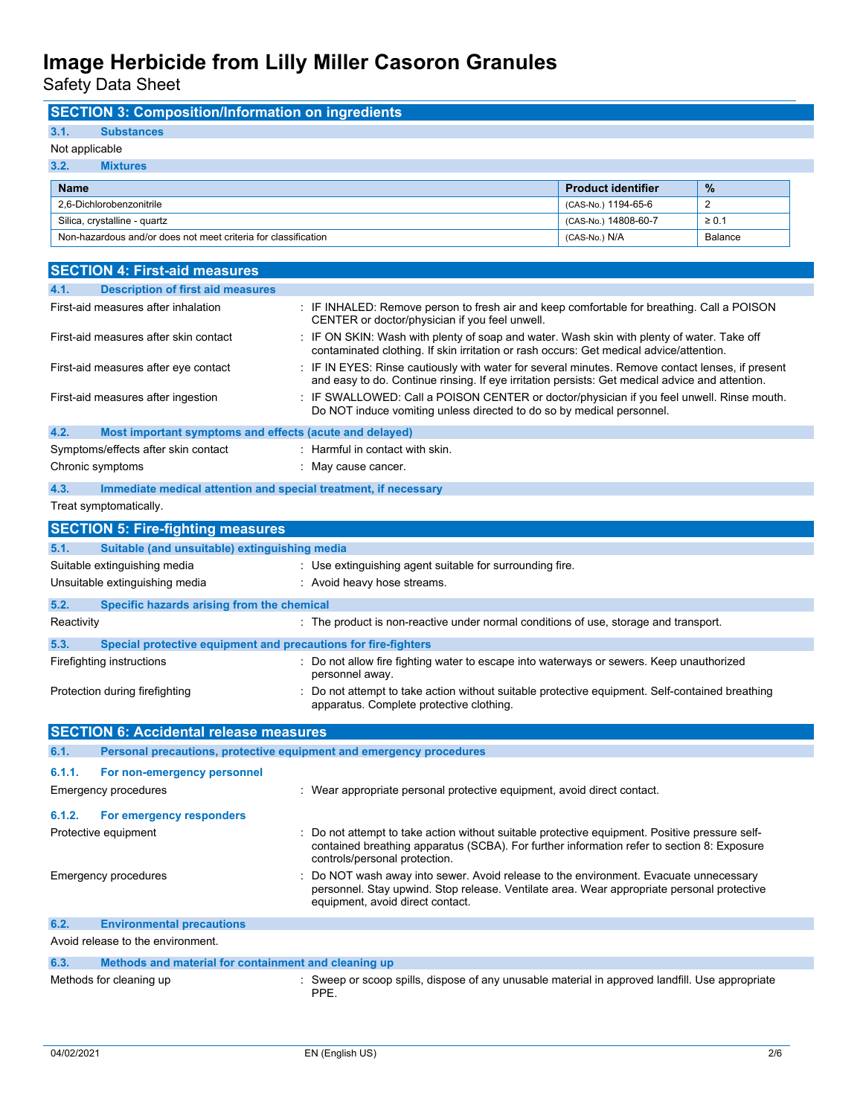**SECTION 3: Composition/Information on ingredients**

Safety Data Sheet

| 3.1.<br>Substances                                                      |                                                                                                                                                                                                                             |                           |                |
|-------------------------------------------------------------------------|-----------------------------------------------------------------------------------------------------------------------------------------------------------------------------------------------------------------------------|---------------------------|----------------|
| Not applicable                                                          |                                                                                                                                                                                                                             |                           |                |
| 3.2.<br><b>Mixtures</b>                                                 |                                                                                                                                                                                                                             |                           |                |
| <b>Name</b>                                                             |                                                                                                                                                                                                                             | <b>Product identifier</b> | %              |
| 2,6-Dichlorobenzonitrile                                                |                                                                                                                                                                                                                             | (CAS-No.) 1194-65-6       | 2              |
| Silica, crystalline - quartz                                            |                                                                                                                                                                                                                             | (CAS-No.) 14808-60-7      | $\geq 0.1$     |
| Non-hazardous and/or does not meet criteria for classification          |                                                                                                                                                                                                                             | (CAS-No.) N/A             | <b>Balance</b> |
|                                                                         |                                                                                                                                                                                                                             |                           |                |
| <b>SECTION 4: First-aid measures</b>                                    |                                                                                                                                                                                                                             |                           |                |
| 4.1.<br><b>Description of first aid measures</b>                        |                                                                                                                                                                                                                             |                           |                |
| First-aid measures after inhalation                                     | : IF INHALED: Remove person to fresh air and keep comfortable for breathing. Call a POISON<br>CENTER or doctor/physician if you feel unwell.                                                                                |                           |                |
| First-aid measures after skin contact                                   | : IF ON SKIN: Wash with plenty of soap and water. Wash skin with plenty of water. Take off<br>contaminated clothing. If skin irritation or rash occurs: Get medical advice/attention.                                       |                           |                |
| First-aid measures after eye contact                                    | : IF IN EYES: Rinse cautiously with water for several minutes. Remove contact lenses, if present<br>and easy to do. Continue rinsing. If eye irritation persists: Get medical advice and attention.                         |                           |                |
| First-aid measures after ingestion                                      | : IF SWALLOWED: Call a POISON CENTER or doctor/physician if you feel unwell. Rinse mouth.<br>Do NOT induce vomiting unless directed to do so by medical personnel.                                                          |                           |                |
| 4.2.<br>Most important symptoms and effects (acute and delayed)         |                                                                                                                                                                                                                             |                           |                |
| Symptoms/effects after skin contact                                     | : Harmful in contact with skin.                                                                                                                                                                                             |                           |                |
| Chronic symptoms                                                        | May cause cancer.                                                                                                                                                                                                           |                           |                |
| 4.3.<br>Immediate medical attention and special treatment, if necessary |                                                                                                                                                                                                                             |                           |                |
| Treat symptomatically.                                                  |                                                                                                                                                                                                                             |                           |                |
| <b>SECTION 5: Fire-fighting measures</b>                                |                                                                                                                                                                                                                             |                           |                |
| 5.1.<br>Suitable (and unsuitable) extinguishing media                   |                                                                                                                                                                                                                             |                           |                |
| Suitable extinguishing media                                            | : Use extinguishing agent suitable for surrounding fire.                                                                                                                                                                    |                           |                |
| Unsuitable extinguishing media                                          | : Avoid heavy hose streams.                                                                                                                                                                                                 |                           |                |
| 5.2.<br>Specific hazards arising from the chemical                      |                                                                                                                                                                                                                             |                           |                |
| Reactivity                                                              | : The product is non-reactive under normal conditions of use, storage and transport.                                                                                                                                        |                           |                |
| 5.3.<br>Special protective equipment and precautions for fire-fighters  |                                                                                                                                                                                                                             |                           |                |
| Firefighting instructions                                               | : Do not allow fire fighting water to escape into waterways or sewers. Keep unauthorized                                                                                                                                    |                           |                |
|                                                                         | personnel away.                                                                                                                                                                                                             |                           |                |
| Protection during firefighting                                          | : Do not attempt to take action without suitable protective equipment. Self-contained breathing<br>apparatus. Complete protective clothing.                                                                                 |                           |                |
| <b>SECTION 6: Accidental release measures</b>                           |                                                                                                                                                                                                                             |                           |                |
| 6.1.                                                                    | Personal precautions, protective equipment and emergency procedures                                                                                                                                                         |                           |                |
| 6.1.1.<br>For non-emergency personnel                                   |                                                                                                                                                                                                                             |                           |                |
| <b>Emergency procedures</b>                                             | : Wear appropriate personal protective equipment, avoid direct contact.                                                                                                                                                     |                           |                |
|                                                                         |                                                                                                                                                                                                                             |                           |                |
| 6.1.2.<br>For emergency responders                                      |                                                                                                                                                                                                                             |                           |                |
| Protective equipment                                                    | Do not attempt to take action without suitable protective equipment. Positive pressure self-<br>contained breathing apparatus (SCBA). For further information refer to section 8: Exposure<br>controls/personal protection. |                           |                |
| Emergency procedures                                                    | Do NOT wash away into sewer. Avoid release to the environment. Evacuate unnecessary<br>personnel. Stay upwind. Stop release. Ventilate area. Wear appropriate personal protective<br>equipment, avoid direct contact.       |                           |                |
| 6.2.<br><b>Environmental precautions</b>                                |                                                                                                                                                                                                                             |                           |                |
|                                                                         |                                                                                                                                                                                                                             |                           |                |
| Avoid release to the environment.                                       |                                                                                                                                                                                                                             |                           |                |
| 6.3.<br>Methods and material for containment and cleaning up            |                                                                                                                                                                                                                             |                           |                |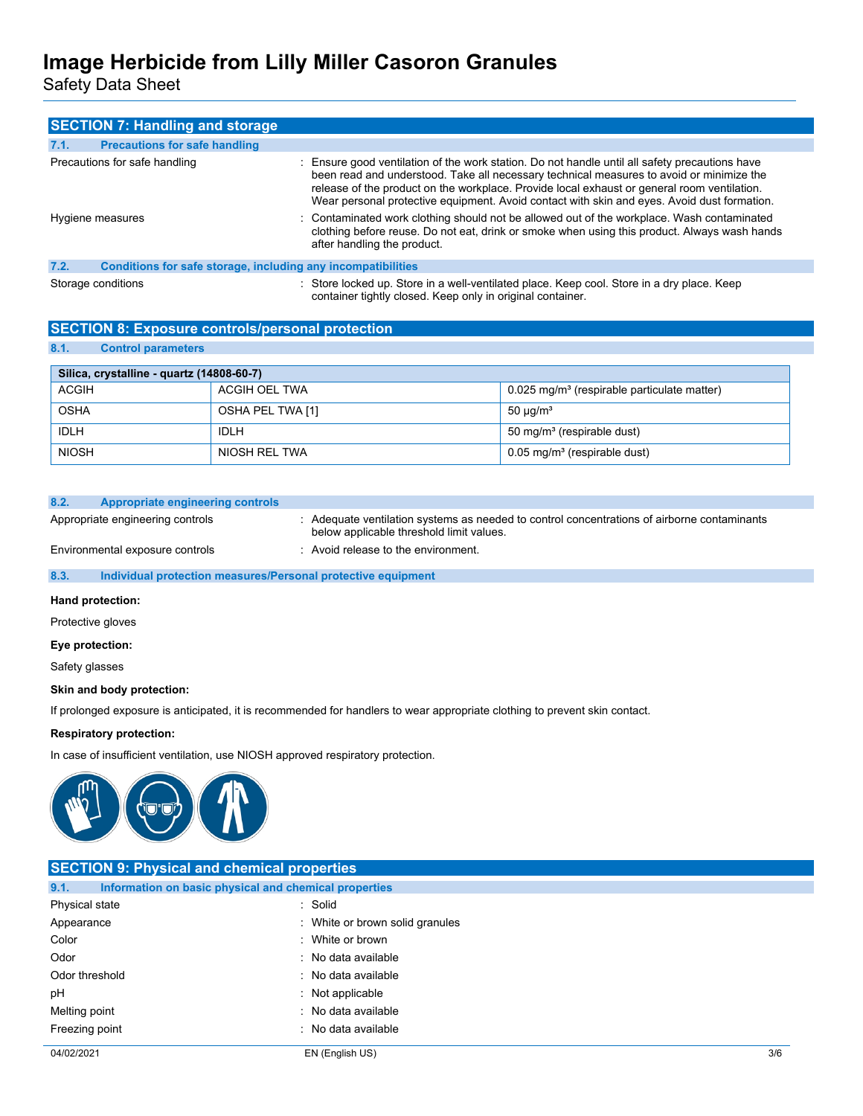Safety Data Sheet

| <b>SECTION 7: Handling and storage</b>                               |                                                                                                                                                                                                                                                                                                                                                                                          |
|----------------------------------------------------------------------|------------------------------------------------------------------------------------------------------------------------------------------------------------------------------------------------------------------------------------------------------------------------------------------------------------------------------------------------------------------------------------------|
| <b>Precautions for safe handling</b><br>7.1.                         |                                                                                                                                                                                                                                                                                                                                                                                          |
| Precautions for safe handling                                        | : Ensure good ventilation of the work station. Do not handle until all safety precautions have<br>been read and understood. Take all necessary technical measures to avoid or minimize the<br>release of the product on the workplace. Provide local exhaust or general room ventilation.<br>Wear personal protective equipment. Avoid contact with skin and eyes. Avoid dust formation. |
| Hygiene measures                                                     | : Contaminated work clothing should not be allowed out of the workplace. Wash contaminated<br>clothing before reuse. Do not eat, drink or smoke when using this product. Always wash hands<br>after handling the product.                                                                                                                                                                |
| 7.2.<br>Conditions for safe storage, including any incompatibilities |                                                                                                                                                                                                                                                                                                                                                                                          |
| Storage conditions                                                   | : Store locked up. Store in a well-ventilated place. Keep cool. Store in a dry place. Keep<br>container tightly closed. Keep only in original container.                                                                                                                                                                                                                                 |

## **SECTION 8: Exposure controls/personal protection**

## **8.1. Control parameters**

| Silica, crystalline - quartz (14808-60-7) |                  |                                                           |
|-------------------------------------------|------------------|-----------------------------------------------------------|
| <b>ACGIH</b>                              | ACGIH OEL TWA    | $0.025$ mg/m <sup>3</sup> (respirable particulate matter) |
| <b>OSHA</b>                               | OSHA PEL TWA [1] | 50 $\mu$ g/m <sup>3</sup>                                 |
| IDLH                                      | IDLH             | 50 mg/m <sup>3</sup> (respirable dust)                    |
| <b>NIOSH</b>                              | NIOSH REL TWA    | $0.05$ mg/m <sup>3</sup> (respirable dust)                |

#### **8.2. Appropriate engineering controls**

Appropriate engineering controls : Adequate ventilation systems as needed to control concentrations of airborne contaminants below applicable threshold limit values.

Environmental exposure controls : Avoid release to the environment.

### **8.3. Individual protection measures/Personal protective equipment**

#### **Hand protection:**

Protective gloves

#### **Eye protection:**

Safety glasses

### **Skin and body protection:**

If prolonged exposure is anticipated, it is recommended for handlers to wear appropriate clothing to prevent skin contact.

#### **Respiratory protection:**

In case of insufficient ventilation, use NIOSH approved respiratory protection.



| <b>SECTION 9: Physical and chemical properties</b> |                                                       |     |
|----------------------------------------------------|-------------------------------------------------------|-----|
| 9.1.                                               | Information on basic physical and chemical properties |     |
| Physical state                                     | : Solid                                               |     |
| Appearance                                         | : White or brown solid granules                       |     |
| Color                                              | : White or brown                                      |     |
| Odor                                               | : No data available                                   |     |
| Odor threshold                                     | : No data available                                   |     |
| pH                                                 | : Not applicable                                      |     |
| Melting point                                      | : No data available                                   |     |
| Freezing point                                     | : No data available                                   |     |
| 04/02/2021                                         | EN (English US)                                       | 3/6 |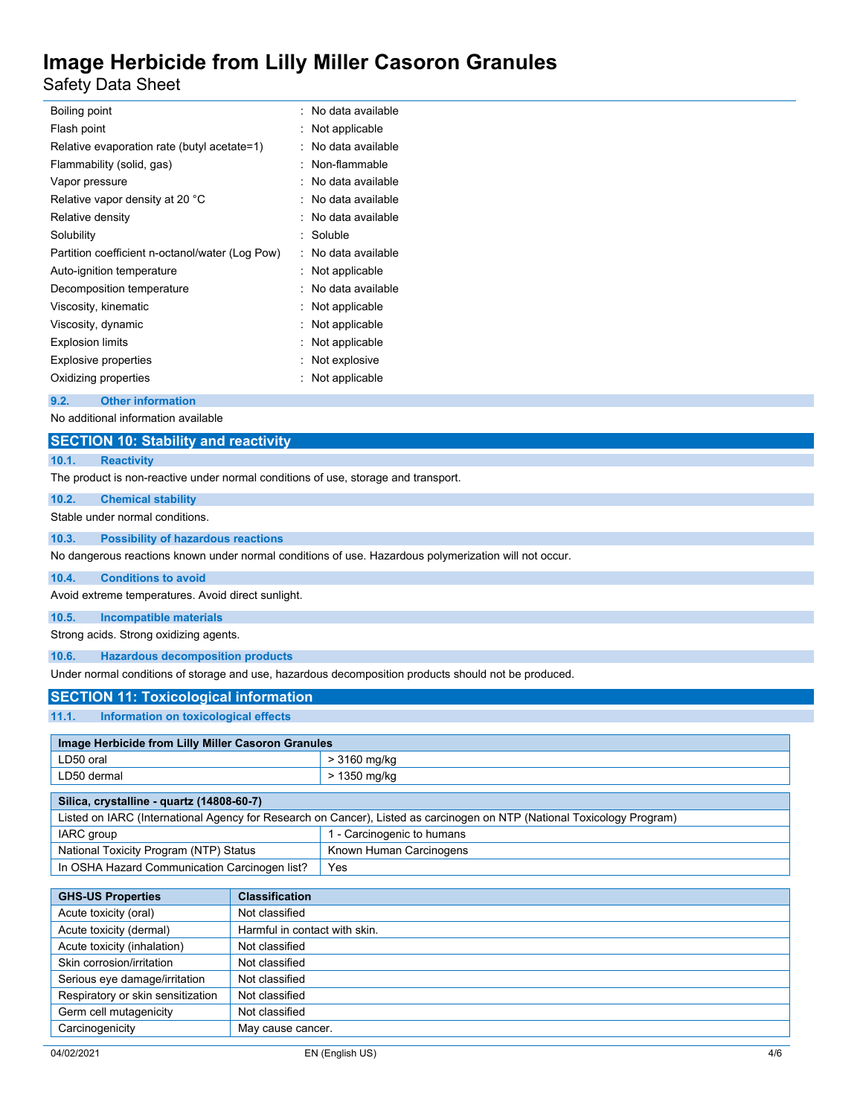Safety Data Sheet

| Boiling point                                   | No data available |
|-------------------------------------------------|-------------------|
| Flash point                                     | Not applicable    |
| Relative evaporation rate (butyl acetate=1)     | No data available |
| Flammability (solid, gas)                       | Non-flammable     |
| Vapor pressure                                  | No data available |
| Relative vapor density at 20 °C                 | No data available |
| Relative density                                | No data available |
| Solubility                                      | Soluble           |
| Partition coefficient n-octanol/water (Log Pow) | No data available |
| Auto-ignition temperature                       | Not applicable    |
| Decomposition temperature                       | No data available |
| Viscosity, kinematic                            | Not applicable    |
| Viscosity, dynamic                              | Not applicable    |
| <b>Explosion limits</b>                         | Not applicable    |
| <b>Explosive properties</b>                     | Not explosive     |
| Oxidizing properties                            | Not applicable    |
|                                                 |                   |

### **9.2. Other information**

No additional information available

## **SECTION 10: Stability and reactivity**

# **10.1. Reactivity**

The product is non-reactive under normal conditions of use, storage and transport.

#### **10.2. Chemical stability**

Stable under normal conditions.

#### **10.3. Possibility of hazardous reactions**

No dangerous reactions known under normal conditions of use. Hazardous polymerization will not occur.

#### **10.4. Conditions to avoid**

Avoid extreme temperatures. Avoid direct sunlight.

#### **10.5. Incompatible materials**

Strong acids. Strong oxidizing agents.

### **10.6. Hazardous decomposition products**

Under normal conditions of storage and use, hazardous decomposition products should not be produced.

## **SECTION 11: Toxicological information**

**11.1. Information on toxicological effects**

| Image Herbicide from Lilly Miller Casoron Granules |              |
|----------------------------------------------------|--------------|
| LD50 oral                                          | > 3160 mg/kg |
| LD50 dermal                                        | > 1350 mg/kg |
|                                                    |              |

| Silica, crystalline - quartz (14808-60-7)                                                                               |                            |
|-------------------------------------------------------------------------------------------------------------------------|----------------------------|
| Listed on IARC (International Agency for Research on Cancer), Listed as carcinogen on NTP (National Toxicology Program) |                            |
| IARC group                                                                                                              | 1 - Carcinogenic to humans |
| National Toxicity Program (NTP) Status                                                                                  | Known Human Carcinogens    |
| In OSHA Hazard Communication Carcinogen list?                                                                           | Yes                        |

| <b>GHS-US Properties</b>          | <b>Classification</b>         |
|-----------------------------------|-------------------------------|
| Acute toxicity (oral)             | Not classified                |
| Acute toxicity (dermal)           | Harmful in contact with skin. |
| Acute toxicity (inhalation)       | Not classified                |
| Skin corrosion/irritation         | Not classified                |
| Serious eye damage/irritation     | Not classified                |
| Respiratory or skin sensitization | Not classified                |
| Germ cell mutagenicity            | Not classified                |
| Carcinogenicity                   | May cause cancer.             |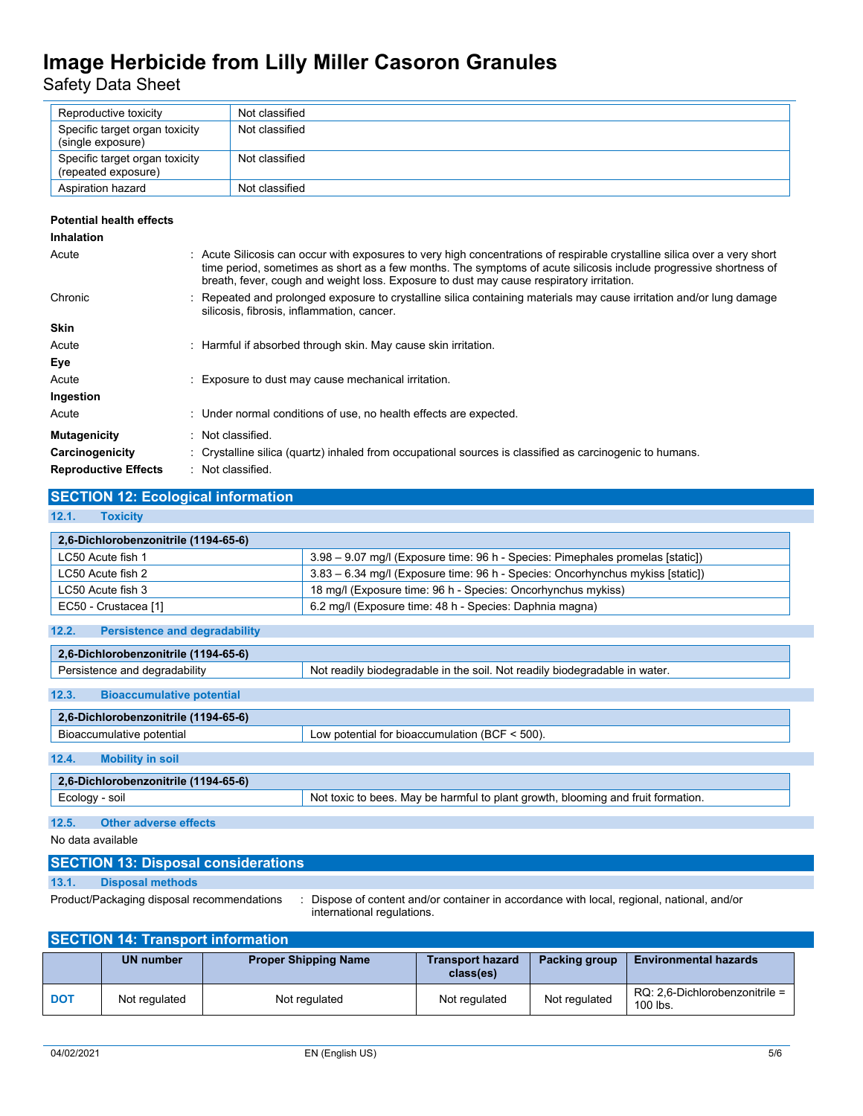Safety Data Sheet

| Reproductive toxicity                                 | Not classified |
|-------------------------------------------------------|----------------|
| Specific target organ toxicity<br>(single exposure)   | Not classified |
| Specific target organ toxicity<br>(repeated exposure) | Not classified |
| Aspiration hazard                                     | Not classified |

### **Potential health effects**

| <b>Inhalation</b>           |                                                                                                                                                                                                                                                                                                                                            |
|-----------------------------|--------------------------------------------------------------------------------------------------------------------------------------------------------------------------------------------------------------------------------------------------------------------------------------------------------------------------------------------|
| Acute                       | : Acute Silicosis can occur with exposures to very high concentrations of respirable crystalline silica over a very short<br>time period, sometimes as short as a few months. The symptoms of acute silicosis include progressive shortness of<br>breath, fever, cough and weight loss. Exposure to dust may cause respiratory irritation. |
| Chronic                     | : Repeated and prolonged exposure to crystalline silica containing materials may cause irritation and/or lung damage<br>silicosis, fibrosis, inflammation, cancer.                                                                                                                                                                         |
| <b>Skin</b>                 |                                                                                                                                                                                                                                                                                                                                            |
| Acute                       | : Harmful if absorbed through skin. May cause skin irritation.                                                                                                                                                                                                                                                                             |
| Eye                         |                                                                                                                                                                                                                                                                                                                                            |
| Acute                       | : Exposure to dust may cause mechanical irritation.                                                                                                                                                                                                                                                                                        |
| Ingestion                   |                                                                                                                                                                                                                                                                                                                                            |
| Acute                       | : Under normal conditions of use, no health effects are expected.                                                                                                                                                                                                                                                                          |
| <b>Mutagenicity</b>         | Not classified.                                                                                                                                                                                                                                                                                                                            |
| Carcinogenicity             | : Crystalline silica (quartz) inhaled from occupational sources is classified as carcinogenic to humans.                                                                                                                                                                                                                                   |
| <b>Reproductive Effects</b> | : Not classified.                                                                                                                                                                                                                                                                                                                          |

## **SECTION 12: Ecological information**

### **12.1. Toxicity**

| 2,6-Dichlorobenzonitrile (1194-65-6)          |                                                                                |
|-----------------------------------------------|--------------------------------------------------------------------------------|
| LC50 Acute fish 1                             | 3.98 – 9.07 mg/l (Exposure time: 96 h - Species: Pimephales promelas [static]) |
| LC50 Acute fish 2                             | 3.83 – 6.34 mg/l (Exposure time: 96 h - Species: Oncorhynchus mykiss [static]) |
| LC50 Acute fish 3                             | 18 mg/l (Exposure time: 96 h - Species: Oncorhynchus mykiss)                   |
| EC50 - Crustacea [1]                          | 6.2 mg/l (Exposure time: 48 h - Species: Daphnia magna)                        |
|                                               |                                                                                |
| 12.2.<br><b>Persistence and degradability</b> |                                                                                |

| 2.6-Dichlorobenzonitrile (1194-65-6)      |                                                                                  |  |  |  |
|-------------------------------------------|----------------------------------------------------------------------------------|--|--|--|
| Persistence and degradability             | Not readily biodegradable in the soil. Not readily biodegradable in water.       |  |  |  |
| 12.3.<br><b>Bioaccumulative potential</b> |                                                                                  |  |  |  |
| 2.6-Dichlorobenzonitrile (1194-65-6)      |                                                                                  |  |  |  |
| Bioaccumulative potential                 | Low potential for bioaccumulation (BCF $\leq$ 500).                              |  |  |  |
| 12.4.<br><b>Mobility in soil</b>          |                                                                                  |  |  |  |
| 2,6-Dichlorobenzonitrile (1194-65-6)      |                                                                                  |  |  |  |
| Ecology - soil                            | Not toxic to bees. May be harmful to plant growth, blooming and fruit formation. |  |  |  |
| 12.5.<br><b>Other adverse effects</b>     |                                                                                  |  |  |  |

No data available

# **SECTION 13: Disposal considerations**

## **13.1. Disposal methods**

Product/Packaging disposal recommendations : Dispose of content and/or container in accordance with local, regional, national, and/or international regulations.

## **SECTION 14: Transport information**

|            | <b>UN number</b> | <b>Proper Shipping Name</b> | <b>Transport hazard</b><br>class(es) | Packing group | <b>Environmental hazards</b>                  |  |
|------------|------------------|-----------------------------|--------------------------------------|---------------|-----------------------------------------------|--|
| <b>DOT</b> | Not regulated    | Not regulated               | Not regulated                        | Not regulated | $RQ: 2.6$ -Dichlorobenzonitrile =<br>100 lbs. |  |